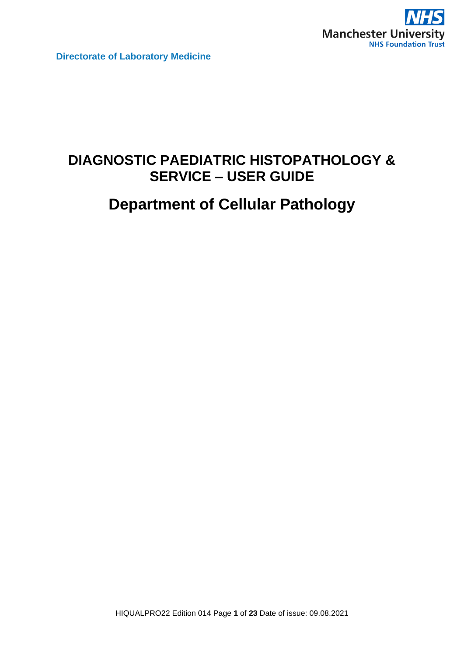

# **DIAGNOSTIC PAEDIATRIC HISTOPATHOLOGY & SERVICE – USER GUIDE**

# **Department of Cellular Pathology**

HIQUALPRO22 Edition 014 Page **1** of **23** Date of issue: 09.08.2021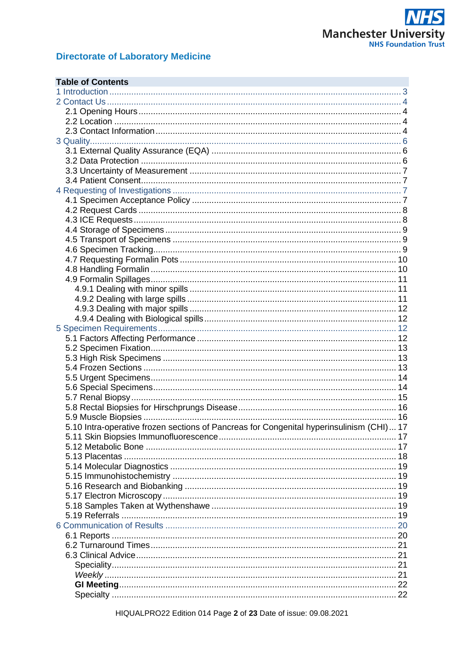

| <b>Table of Contents</b>                                                                 |  |
|------------------------------------------------------------------------------------------|--|
|                                                                                          |  |
|                                                                                          |  |
|                                                                                          |  |
|                                                                                          |  |
|                                                                                          |  |
|                                                                                          |  |
|                                                                                          |  |
|                                                                                          |  |
|                                                                                          |  |
|                                                                                          |  |
|                                                                                          |  |
|                                                                                          |  |
|                                                                                          |  |
|                                                                                          |  |
|                                                                                          |  |
|                                                                                          |  |
|                                                                                          |  |
|                                                                                          |  |
|                                                                                          |  |
|                                                                                          |  |
|                                                                                          |  |
|                                                                                          |  |
|                                                                                          |  |
|                                                                                          |  |
|                                                                                          |  |
|                                                                                          |  |
|                                                                                          |  |
|                                                                                          |  |
|                                                                                          |  |
|                                                                                          |  |
|                                                                                          |  |
|                                                                                          |  |
|                                                                                          |  |
|                                                                                          |  |
| 5.10 Intra-operative frozen sections of Pancreas for Congenital hyperinsulinism (CHI) 17 |  |
|                                                                                          |  |
|                                                                                          |  |
|                                                                                          |  |
|                                                                                          |  |
|                                                                                          |  |
|                                                                                          |  |
|                                                                                          |  |
|                                                                                          |  |
|                                                                                          |  |
|                                                                                          |  |
|                                                                                          |  |
|                                                                                          |  |
|                                                                                          |  |
|                                                                                          |  |
|                                                                                          |  |
|                                                                                          |  |
|                                                                                          |  |

HIQUALPRO22 Edition 014 Page 2 of 23 Date of issue: 09.08.2021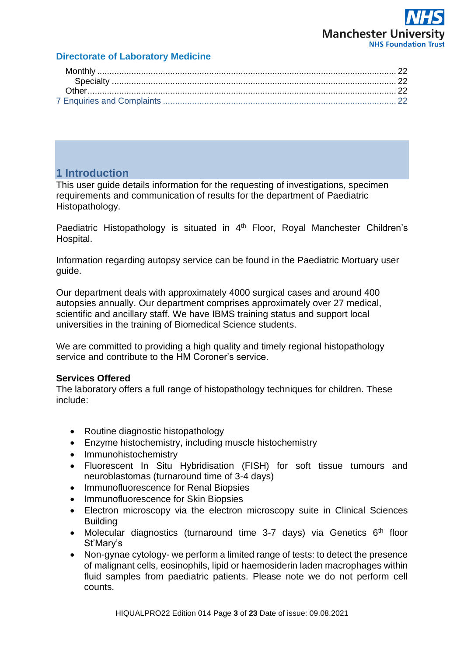# **Manchester Univers NHS Foundation Trust**

# **Directorate of Laboratory Medicine**

# <span id="page-2-0"></span>**1 Introduction**

This user guide details information for the requesting of investigations, specimen requirements and communication of results for the department of Paediatric Histopathology.

Paediatric Histopathology is situated in 4<sup>th</sup> Floor, Royal Manchester Children's Hospital.

Information regarding autopsy service can be found in the Paediatric Mortuary user guide.

Our department deals with approximately 4000 surgical cases and around 400 autopsies annually. Our department comprises approximately over 27 medical, scientific and ancillary staff. We have IBMS training status and support local universities in the training of Biomedical Science students.

We are committed to providing a high quality and timely regional histopathology service and contribute to the HM Coroner's service.

# **Services Offered**

The laboratory offers a full range of histopathology techniques for children. These include:

- Routine diagnostic histopathology
- Enzyme histochemistry, including muscle histochemistry
- Immunohistochemistry
- Fluorescent In Situ Hybridisation (FISH) for soft tissue tumours and neuroblastomas (turnaround time of 3-4 days)
- Immunofluorescence for Renal Biopsies
- Immunofluorescence for Skin Biopsies
- Electron microscopy via the electron microscopy suite in Clinical Sciences Building
- Molecular diagnostics (turnaround time 3-7 days) via Genetics  $6<sup>th</sup>$  floor St'Mary's
- Non-gynae cytology- we perform a limited range of tests: to detect the presence of malignant cells, eosinophils, lipid or haemosiderin laden macrophages within fluid samples from paediatric patients. Please note we do not perform cell counts.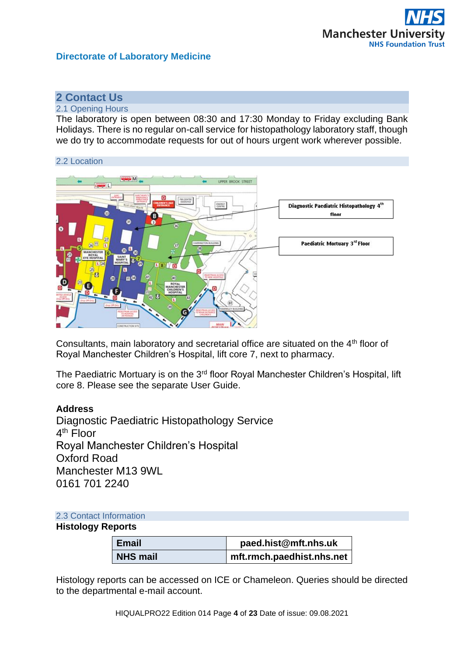

# <span id="page-3-0"></span>**2 Contact Us**

#### <span id="page-3-1"></span>2.1 Opening Hours

The laboratory is open between 08:30 and 17:30 Monday to Friday excluding Bank Holidays. There is no regular on-call service for histopathology laboratory staff, though we do try to accommodate requests for out of hours urgent work wherever possible.

<span id="page-3-2"></span>

Consultants, main laboratory and secretarial office are situated on the  $4<sup>th</sup>$  floor of Royal Manchester Children's Hospital, lift core 7, next to pharmacy.

The Paediatric Mortuary is on the 3<sup>rd</sup> floor Royal Manchester Children's Hospital, lift core 8. Please see the separate User Guide.

#### **Address**

Diagnostic Paediatric Histopathology Service 4<sup>th</sup> Floor Royal Manchester Children's Hospital Oxford Road Manchester M13 9WL 0161 701 2240

# <span id="page-3-3"></span>2.3 Contact Information

# **Histology Reports**

| Email           | paed.hist@mft.nhs.uk      |
|-----------------|---------------------------|
| <b>NHS mail</b> | mft.rmch.paedhist.nhs.net |

Histology reports can be accessed on ICE or Chameleon. Queries should be directed to the departmental e-mail account.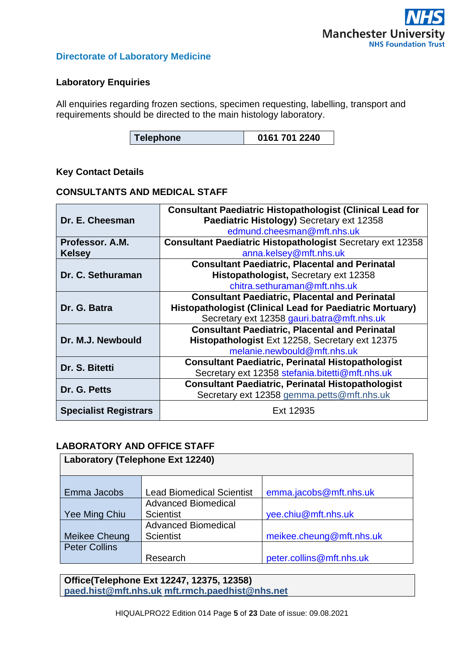

# **Laboratory Enquiries**

All enquiries regarding frozen sections, specimen requesting, labelling, transport and requirements should be directed to the main histology laboratory.

| 0161 701 2240<br>Telephone |
|----------------------------|
|----------------------------|

# **Key Contact Details**

## **CONSULTANTS AND MEDICAL STAFF**

|                              | <b>Consultant Paediatric Histopathologist (Clinical Lead for</b>  |  |
|------------------------------|-------------------------------------------------------------------|--|
| Dr. E. Cheesman              | Paediatric Histology) Secretary ext 12358                         |  |
|                              | edmund.cheesman@mft.nhs.uk                                        |  |
| Professor, A.M.              | <b>Consultant Paediatric Histopathologist Secretary ext 12358</b> |  |
| <b>Kelsey</b>                | anna.kelsey@mft.nhs.uk                                            |  |
|                              | <b>Consultant Paediatric, Placental and Perinatal</b>             |  |
| Dr. C. Sethuraman            | Histopathologist, Secretary ext 12358                             |  |
|                              | chitra.sethuraman@mft.nhs.uk                                      |  |
|                              | <b>Consultant Paediatric, Placental and Perinatal</b>             |  |
| Dr. G. Batra                 | <b>Histopathologist (Clinical Lead for Paediatric Mortuary)</b>   |  |
|                              | Secretary ext 12358 gauri.batra@mft.nhs.uk                        |  |
|                              | <b>Consultant Paediatric, Placental and Perinatal</b>             |  |
| Dr. M.J. Newbould            | Histopathologist Ext 12258, Secretary ext 12375                   |  |
|                              | melanie.newbould@mft.nhs.uk                                       |  |
| Dr. S. Bitetti               | <b>Consultant Paediatric, Perinatal Histopathologist</b>          |  |
|                              | Secretary ext 12358 stefania.bitetti@mft.nhs.uk                   |  |
| Dr. G. Petts                 | <b>Consultant Paediatric, Perinatal Histopathologist</b>          |  |
|                              | Secretary ext 12358 gemma.petts@mft.nhs.uk                        |  |
| <b>Specialist Registrars</b> | Ext 12935                                                         |  |

# **LABORATORY AND OFFICE STAFF**

| <b>Laboratory (Telephone Ext 12240)</b> |                                  |                          |  |
|-----------------------------------------|----------------------------------|--------------------------|--|
|                                         |                                  |                          |  |
| Emma Jacobs                             | <b>Lead Biomedical Scientist</b> | emma.jacobs@mft.nhs.uk   |  |
|                                         | <b>Advanced Biomedical</b>       |                          |  |
| Yee Ming Chiu                           | <b>Scientist</b>                 | yee.chiu@mft.nhs.uk      |  |
|                                         | <b>Advanced Biomedical</b>       |                          |  |
| <b>Meikee Cheung</b>                    | <b>Scientist</b>                 | meikee.cheung@mft.nhs.uk |  |
| <b>Peter Collins</b>                    |                                  |                          |  |
|                                         | Research                         | peter.collins@mft.nhs.uk |  |

**Office(Telephone Ext 12247, 12375, 12358) [paed.hist@mft.nhs.uk](mailto:paed.hist@mft.nhs.uk) [mft.rmch.paedhist@nhs.net](mailto:mft.rmch.paedhist@nhs.net)**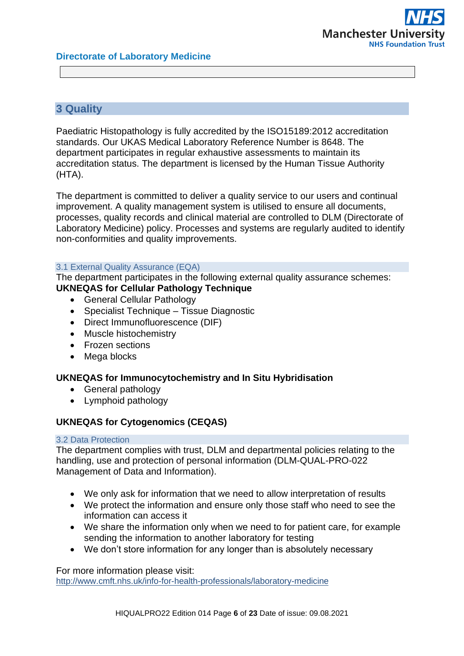# <span id="page-5-0"></span>**3 Quality**

Paediatric Histopathology is fully accredited by the ISO15189:2012 accreditation standards. Our UKAS Medical Laboratory Reference Number is 8648. The department participates in regular exhaustive assessments to maintain its accreditation status. The department is licensed by the Human Tissue Authority (HTA).

The department is committed to deliver a quality service to our users and continual improvement. A quality management system is utilised to ensure all documents, processes, quality records and clinical material are controlled to DLM (Directorate of Laboratory Medicine) policy. Processes and systems are regularly audited to identify non-conformities and quality improvements.

#### <span id="page-5-1"></span>3.1 External Quality Assurance (EQA)

The department participates in the following external quality assurance schemes: **UKNEQAS for Cellular Pathology Technique**

- General Cellular Pathology
- Specialist Technique Tissue Diagnostic
- Direct Immunofluorescence (DIF)
- Muscle histochemistry
- Frozen sections
- Mega blocks

# **UKNEQAS for Immunocytochemistry and In Situ Hybridisation**

- General pathology
- Lymphoid pathology

# **UKNEQAS for Cytogenomics (CEQAS)**

#### <span id="page-5-2"></span>3.2 Data Protection

The department complies with trust, DLM and departmental policies relating to the handling, use and protection of personal information (DLM-QUAL-PRO-022 Management of Data and Information).

- We only ask for information that we need to allow interpretation of results
- We protect the information and ensure only those staff who need to see the information can access it
- We share the information only when we need to for patient care, for example sending the information to another laboratory for testing
- We don't store information for any longer than is absolutely necessary

For more information please visit:

<http://www.cmft.nhs.uk/info-for-health-professionals/laboratory-medicine>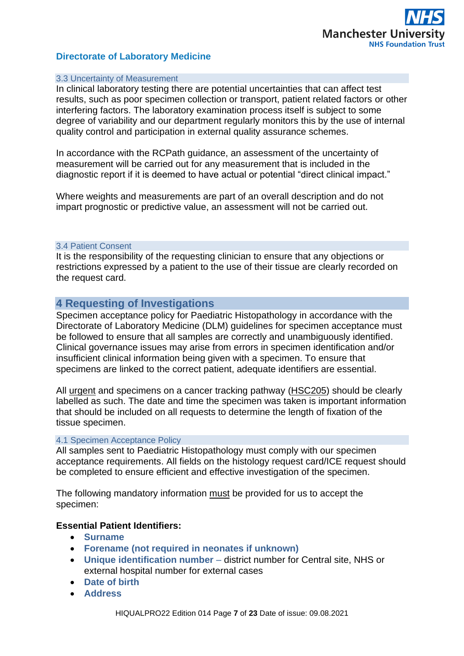

#### <span id="page-6-0"></span>3.3 Uncertainty of Measurement

In clinical laboratory testing there are potential uncertainties that can affect test results, such as poor specimen collection or transport, patient related factors or other interfering factors. The laboratory examination process itself is subject to some degree of variability and our department regularly monitors this by the use of internal quality control and participation in external quality assurance schemes.

In accordance with the RCPath guidance, an assessment of the uncertainty of measurement will be carried out for any measurement that is included in the diagnostic report if it is deemed to have actual or potential "direct clinical impact."

Where weights and measurements are part of an overall description and do not impart prognostic or predictive value, an assessment will not be carried out.

#### <span id="page-6-1"></span>3.4 Patient Consent

It is the responsibility of the requesting clinician to ensure that any objections or restrictions expressed by a patient to the use of their tissue are clearly recorded on the request card.

# <span id="page-6-2"></span>**4 Requesting of Investigations**

Specimen acceptance policy for Paediatric Histopathology in accordance with the Directorate of Laboratory Medicine (DLM) guidelines for specimen acceptance must be followed to ensure that all samples are correctly and unambiguously identified. Clinical governance issues may arise from errors in specimen identification and/or insufficient clinical information being given with a specimen. To ensure that specimens are linked to the correct patient, adequate identifiers are essential.

All urgent and specimens on a cancer tracking pathway (HSC205) should be clearly labelled as such. The date and time the specimen was taken is important information that should be included on all requests to determine the length of fixation of the tissue specimen.

#### <span id="page-6-3"></span>4.1 Specimen Acceptance Policy

All samples sent to Paediatric Histopathology must comply with our specimen acceptance requirements. All fields on the histology request card/ICE request should be completed to ensure efficient and effective investigation of the specimen.

The following mandatory information must be provided for us to accept the specimen:

# **Essential Patient Identifiers:**

- **Surname**
- **Forename (not required in neonates if unknown)**
- **Unique identification number** district number for Central site, NHS or external hospital number for external cases
- **Date of birth**
- **Address**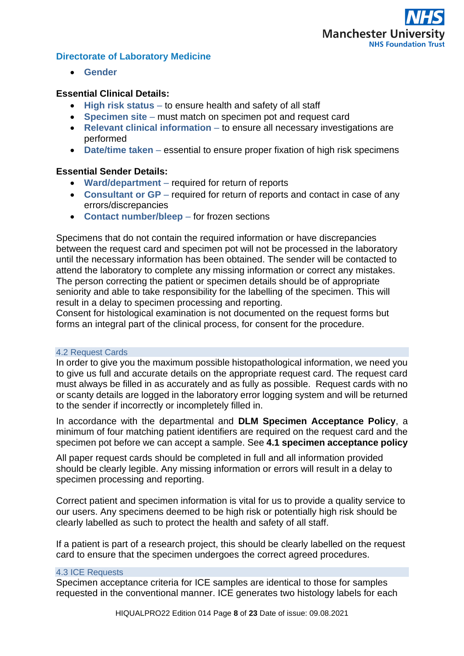

• **Gender**

# **Essential Clinical Details:**

- **High risk status**  to ensure health and safety of all staff
- **Specimen site** must match on specimen pot and request card
- **Relevant clinical information** to ensure all necessary investigations are performed
- **Date/time taken** essential to ensure proper fixation of high risk specimens

# **Essential Sender Details:**

- **Ward/department**  required for return of reports
- **Consultant or GP** required for return of reports and contact in case of any errors/discrepancies
- **Contact number/bleep**  for frozen sections

Specimens that do not contain the required information or have discrepancies between the request card and specimen pot will not be processed in the laboratory until the necessary information has been obtained. The sender will be contacted to attend the laboratory to complete any missing information or correct any mistakes. The person correcting the patient or specimen details should be of appropriate seniority and able to take responsibility for the labelling of the specimen. This will result in a delay to specimen processing and reporting.

Consent for histological examination is not documented on the request forms but forms an integral part of the clinical process, for consent for the procedure.

#### <span id="page-7-0"></span>4.2 Request Cards

In order to give you the maximum possible histopathological information, we need you to give us full and accurate details on the appropriate request card. The request card must always be filled in as accurately and as fully as possible. Request cards with no or scanty details are logged in the laboratory error logging system and will be returned to the sender if incorrectly or incompletely filled in.

In accordance with the departmental and **DLM Specimen Acceptance Policy**, a minimum of four matching patient identifiers are required on the request card and the specimen pot before we can accept a sample. See **4.1 specimen acceptance policy**

All paper request cards should be completed in full and all information provided should be clearly legible. Any missing information or errors will result in a delay to specimen processing and reporting.

Correct patient and specimen information is vital for us to provide a quality service to our users. Any specimens deemed to be high risk or potentially high risk should be clearly labelled as such to protect the health and safety of all staff.

If a patient is part of a research project, this should be clearly labelled on the request card to ensure that the specimen undergoes the correct agreed procedures.

#### <span id="page-7-1"></span>4.3 ICE Requests

Specimen acceptance criteria for ICE samples are identical to those for samples requested in the conventional manner. ICE generates two histology labels for each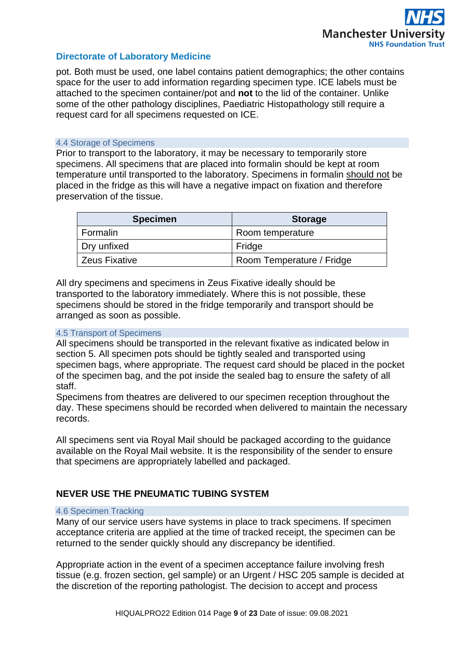pot. Both must be used, one label contains patient demographics; the other contains space for the user to add information regarding specimen type. ICE labels must be attached to the specimen container/pot and **not** to the lid of the container. Unlike some of the other pathology disciplines, Paediatric Histopathology still require a request card for all specimens requested on ICE.

#### <span id="page-8-0"></span>4.4 Storage of Specimens

Prior to transport to the laboratory, it may be necessary to temporarily store specimens. All specimens that are placed into formalin should be kept at room temperature until transported to the laboratory. Specimens in formalin should not be placed in the fridge as this will have a negative impact on fixation and therefore preservation of the tissue.

| <b>Specimen</b>      | <b>Storage</b>            |
|----------------------|---------------------------|
| Formalin             | Room temperature          |
| Dry unfixed          | Fridge                    |
| <b>Zeus Fixative</b> | Room Temperature / Fridge |

All dry specimens and specimens in Zeus Fixative ideally should be transported to the laboratory immediately. Where this is not possible, these specimens should be stored in the fridge temporarily and transport should be arranged as soon as possible.

#### <span id="page-8-1"></span>4.5 Transport of Specimens

All specimens should be transported in the relevant fixative as indicated below in section 5. All specimen pots should be tightly sealed and transported using specimen bags, where appropriate. The request card should be placed in the pocket of the specimen bag, and the pot inside the sealed bag to ensure the safety of all staff.

Specimens from theatres are delivered to our specimen reception throughout the day. These specimens should be recorded when delivered to maintain the necessary records.

All specimens sent via Royal Mail should be packaged according to the guidance available on the Royal Mail website. It is the responsibility of the sender to ensure that specimens are appropriately labelled and packaged.

# **NEVER USE THE PNEUMATIC TUBING SYSTEM**

#### <span id="page-8-2"></span>4.6 Specimen Tracking

Many of our service users have systems in place to track specimens. If specimen acceptance criteria are applied at the time of tracked receipt, the specimen can be returned to the sender quickly should any discrepancy be identified.

Appropriate action in the event of a specimen acceptance failure involving fresh tissue (e.g. frozen section, gel sample) or an Urgent / HSC 205 sample is decided at the discretion of the reporting pathologist. The decision to accept and process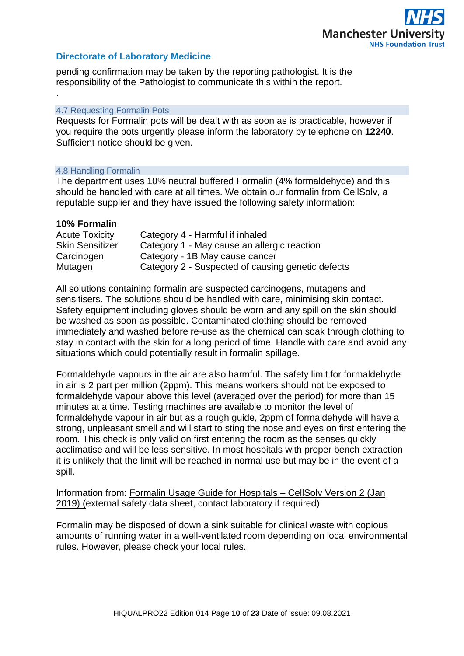pending confirmation may be taken by the reporting pathologist. It is the responsibility of the Pathologist to communicate this within the report.

#### <span id="page-9-0"></span>4.7 Requesting Formalin Pots

Requests for Formalin pots will be dealt with as soon as is practicable, however if you require the pots urgently please inform the laboratory by telephone on **12240**. Sufficient notice should be given.

#### <span id="page-9-1"></span>4.8 Handling Formalin

The department uses 10% neutral buffered Formalin (4% formaldehyde) and this should be handled with care at all times. We obtain our formalin from CellSolv, a reputable supplier and they have issued the following safety information:

#### **10% Formalin**

.

| <b>Acute Toxicity</b>  | Category 4 - Harmful if inhaled                   |
|------------------------|---------------------------------------------------|
| <b>Skin Sensitizer</b> | Category 1 - May cause an allergic reaction       |
| Carcinogen             | Category - 1B May cause cancer                    |
| Mutagen                | Category 2 - Suspected of causing genetic defects |

All solutions containing formalin are suspected carcinogens, mutagens and sensitisers. The solutions should be handled with care, minimising skin contact. Safety equipment including gloves should be worn and any spill on the skin should be washed as soon as possible. Contaminated clothing should be removed immediately and washed before re-use as the chemical can soak through clothing to stay in contact with the skin for a long period of time. Handle with care and avoid any situations which could potentially result in formalin spillage.

Formaldehyde vapours in the air are also harmful. The safety limit for formaldehyde in air is 2 part per million (2ppm). This means workers should not be exposed to formaldehyde vapour above this level (averaged over the period) for more than 15 minutes at a time. Testing machines are available to monitor the level of formaldehyde vapour in air but as a rough guide, 2ppm of formaldehyde will have a strong, unpleasant smell and will start to sting the nose and eyes on first entering the room. This check is only valid on first entering the room as the senses quickly acclimatise and will be less sensitive. In most hospitals with proper bench extraction it is unlikely that the limit will be reached in normal use but may be in the event of a spill.

Information from: Formalin Usage Guide for Hospitals – CellSolv Version 2 (Jan 2019) (external safety data sheet, contact laboratory if required)

Formalin may be disposed of down a sink suitable for clinical waste with copious amounts of running water in a well-ventilated room depending on local environmental rules. However, please check your local rules.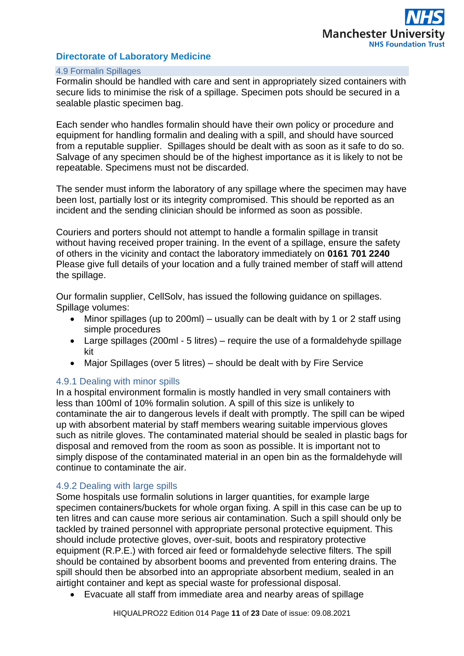#### <span id="page-10-0"></span>4.9 Formalin Spillages

Formalin should be handled with care and sent in appropriately sized containers with secure lids to minimise the risk of a spillage. Specimen pots should be secured in a sealable plastic specimen bag.

Each sender who handles formalin should have their own policy or procedure and equipment for handling formalin and dealing with a spill, and should have sourced from a reputable supplier. Spillages should be dealt with as soon as it safe to do so. Salvage of any specimen should be of the highest importance as it is likely to not be repeatable. Specimens must not be discarded.

The sender must inform the laboratory of any spillage where the specimen may have been lost, partially lost or its integrity compromised. This should be reported as an incident and the sending clinician should be informed as soon as possible.

Couriers and porters should not attempt to handle a formalin spillage in transit without having received proper training. In the event of a spillage, ensure the safety of others in the vicinity and contact the laboratory immediately on **0161 701 2240** Please give full details of your location and a fully trained member of staff will attend the spillage.

Our formalin supplier, CellSolv, has issued the following guidance on spillages. Spillage volumes:

- Minor spillages (up to 200ml) usually can be dealt with by 1 or 2 staff using simple procedures
- Large spillages (200ml 5 litres) require the use of a formaldehyde spillage kit
- Major Spillages (over 5 litres) should be dealt with by Fire Service

# <span id="page-10-1"></span>4.9.1 Dealing with minor spills

In a hospital environment formalin is mostly handled in very small containers with less than 100ml of 10% formalin solution. A spill of this size is unlikely to contaminate the air to dangerous levels if dealt with promptly. The spill can be wiped up with absorbent material by staff members wearing suitable impervious gloves such as nitrile gloves. The contaminated material should be sealed in plastic bags for disposal and removed from the room as soon as possible. It is important not to simply dispose of the contaminated material in an open bin as the formaldehyde will continue to contaminate the air.

# <span id="page-10-2"></span>4.9.2 Dealing with large spills

Some hospitals use formalin solutions in larger quantities, for example large specimen containers/buckets for whole organ fixing. A spill in this case can be up to ten litres and can cause more serious air contamination. Such a spill should only be tackled by trained personnel with appropriate personal protective equipment. This should include protective gloves, over-suit, boots and respiratory protective equipment (R.P.E.) with forced air feed or formaldehyde selective filters. The spill should be contained by absorbent booms and prevented from entering drains. The spill should then be absorbed into an appropriate absorbent medium, sealed in an airtight container and kept as special waste for professional disposal.

• Evacuate all staff from immediate area and nearby areas of spillage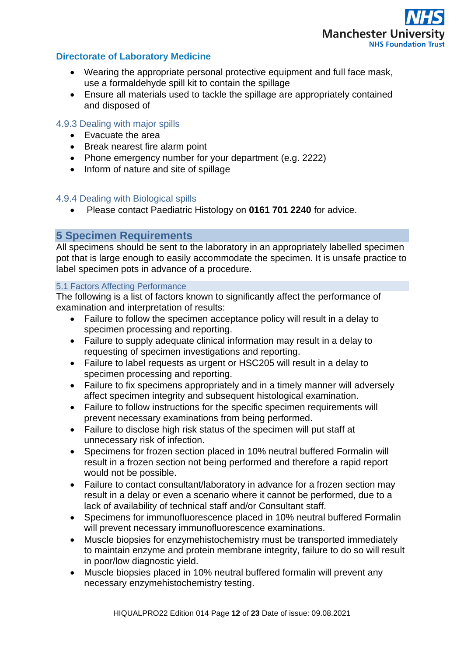

- Wearing the appropriate personal protective equipment and full face mask, use a formaldehyde spill kit to contain the spillage
- Ensure all materials used to tackle the spillage are appropriately contained and disposed of

# <span id="page-11-0"></span>4.9.3 Dealing with major spills

- Evacuate the area
- Break nearest fire alarm point
- Phone emergency number for your department (e.g. 2222)
- Inform of nature and site of spillage

#### <span id="page-11-1"></span>4.9.4 Dealing with Biological spills

• Please contact Paediatric Histology on **0161 701 2240** for advice.

# <span id="page-11-2"></span>**5 Specimen Requirements**

All specimens should be sent to the laboratory in an appropriately labelled specimen pot that is large enough to easily accommodate the specimen. It is unsafe practice to label specimen pots in advance of a procedure.

# <span id="page-11-3"></span>5.1 Factors Affecting Performance

The following is a list of factors known to significantly affect the performance of examination and interpretation of results:

- Failure to follow the specimen acceptance policy will result in a delay to specimen processing and reporting.
- Failure to supply adequate clinical information may result in a delay to requesting of specimen investigations and reporting.
- Failure to label requests as urgent or HSC205 will result in a delay to specimen processing and reporting.
- Failure to fix specimens appropriately and in a timely manner will adversely affect specimen integrity and subsequent histological examination.
- Failure to follow instructions for the specific specimen requirements will prevent necessary examinations from being performed.
- Failure to disclose high risk status of the specimen will put staff at unnecessary risk of infection.
- Specimens for frozen section placed in 10% neutral buffered Formalin will result in a frozen section not being performed and therefore a rapid report would not be possible.
- Failure to contact consultant/laboratory in advance for a frozen section may result in a delay or even a scenario where it cannot be performed, due to a lack of availability of technical staff and/or Consultant staff.
- Specimens for immunofluorescence placed in 10% neutral buffered Formalin will prevent necessary immunofluorescence examinations.
- Muscle biopsies for enzymehistochemistry must be transported immediately to maintain enzyme and protein membrane integrity, failure to do so will result in poor/low diagnostic yield.
- Muscle biopsies placed in 10% neutral buffered formalin will prevent any necessary enzymehistochemistry testing.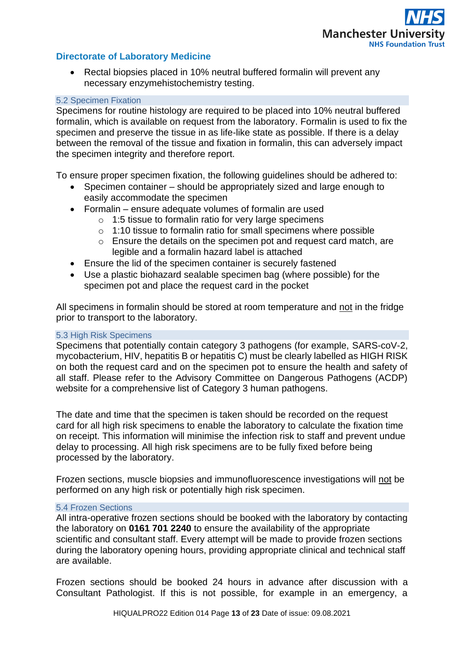

Rectal biopsies placed in 10% neutral buffered formalin will prevent any necessary enzymehistochemistry testing.

#### <span id="page-12-0"></span>5.2 Specimen Fixation

Specimens for routine histology are required to be placed into 10% neutral buffered formalin, which is available on request from the laboratory. Formalin is used to fix the specimen and preserve the tissue in as life-like state as possible. If there is a delay between the removal of the tissue and fixation in formalin, this can adversely impact the specimen integrity and therefore report.

To ensure proper specimen fixation, the following guidelines should be adhered to:

- Specimen container should be appropriately sized and large enough to easily accommodate the specimen
- Formalin ensure adequate volumes of formalin are used
	- o 1:5 tissue to formalin ratio for very large specimens
	- o 1:10 tissue to formalin ratio for small specimens where possible
	- o Ensure the details on the specimen pot and request card match, are legible and a formalin hazard label is attached
- Ensure the lid of the specimen container is securely fastened
- Use a plastic biohazard sealable specimen bag (where possible) for the specimen pot and place the request card in the pocket

All specimens in formalin should be stored at room temperature and not in the fridge prior to transport to the laboratory.

#### <span id="page-12-1"></span>5.3 High Risk Specimens

Specimens that potentially contain category 3 pathogens (for example, SARS-coV-2, mycobacterium, HIV, hepatitis B or hepatitis C) must be clearly labelled as HIGH RISK on both the request card and on the specimen pot to ensure the health and safety of all staff. Please refer to the Advisory Committee on Dangerous Pathogens (ACDP) website for a comprehensive list of Category 3 human pathogens.

The date and time that the specimen is taken should be recorded on the request card for all high risk specimens to enable the laboratory to calculate the fixation time on receipt. This information will minimise the infection risk to staff and prevent undue delay to processing. All high risk specimens are to be fully fixed before being processed by the laboratory.

Frozen sections, muscle biopsies and immunofluorescence investigations will not be performed on any high risk or potentially high risk specimen.

#### <span id="page-12-2"></span>5.4 Frozen Sections

All intra-operative frozen sections should be booked with the laboratory by contacting the laboratory on **0161 701 2240** to ensure the availability of the appropriate scientific and consultant staff. Every attempt will be made to provide frozen sections during the laboratory opening hours, providing appropriate clinical and technical staff are available.

Frozen sections should be booked 24 hours in advance after discussion with a Consultant Pathologist. If this is not possible, for example in an emergency, a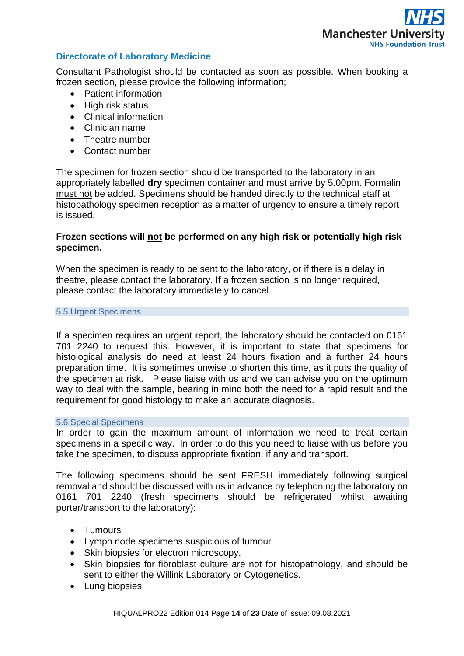

Consultant Pathologist should be contacted as soon as possible. When booking a frozen section, please provide the following information;

- Patient information
- High risk status
- Clinical information
- Clinician name
- Theatre number
- Contact number

The specimen for frozen section should be transported to the laboratory in an appropriately labelled **dry** specimen container and must arrive by 5.00pm. Formalin must not be added. Specimens should be handed directly to the technical staff at histopathology specimen reception as a matter of urgency to ensure a timely report is issued.

# **Frozen sections will not be performed on any high risk or potentially high risk specimen.**

When the specimen is ready to be sent to the laboratory, or if there is a delay in theatre, please contact the laboratory. If a frozen section is no longer required, please contact the laboratory immediately to cancel.

# <span id="page-13-0"></span>5.5 Urgent Specimens

If a specimen requires an urgent report, the laboratory should be contacted on 0161 701 2240 to request this. However, it is important to state that specimens for histological analysis do need at least 24 hours fixation and a further 24 hours preparation time. It is sometimes unwise to shorten this time, as it puts the quality of the specimen at risk. Please liaise with us and we can advise you on the optimum way to deal with the sample, bearing in mind both the need for a rapid result and the requirement for good histology to make an accurate diagnosis.

#### <span id="page-13-1"></span>5.6 Special Specimens

In order to gain the maximum amount of information we need to treat certain specimens in a specific way. In order to do this you need to liaise with us before you take the specimen, to discuss appropriate fixation, if any and transport.

The following specimens should be sent FRESH immediately following surgical removal and should be discussed with us in advance by telephoning the laboratory on 0161 701 2240 (fresh specimens should be refrigerated whilst awaiting porter/transport to the laboratory):

- Tumours
- Lymph node specimens suspicious of tumour
- Skin biopsies for electron microscopy.
- Skin biopsies for fibroblast culture are not for histopathology, and should be sent to either the Willink Laboratory or Cytogenetics.
- Lung biopsies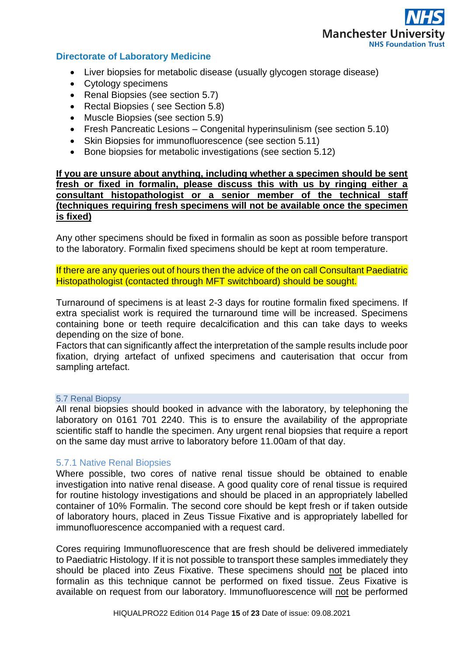

- Liver biopsies for metabolic disease (usually glycogen storage disease)
- Cytology specimens
- Renal Biopsies (see section 5.7)
- Rectal Biopsies (see Section 5.8)
- Muscle Biopsies (see section 5.9)
- Fresh Pancreatic Lesions Congenital hyperinsulinism (see section 5.10)
- Skin Biopsies for immunofluorescence (see section 5.11)
- Bone biopsies for metabolic investigations (see section 5.12)

#### **If you are unsure about anything, including whether a specimen should be sent fresh or fixed in formalin, please discuss this with us by ringing either a consultant histopathologist or a senior member of the technical staff (techniques requiring fresh specimens will not be available once the specimen is fixed)**

Any other specimens should be fixed in formalin as soon as possible before transport to the laboratory. Formalin fixed specimens should be kept at room temperature.

If there are any queries out of hours then the advice of the on call Consultant Paediatric Histopathologist (contacted through MFT switchboard) should be sought.

Turnaround of specimens is at least 2-3 days for routine formalin fixed specimens. If extra specialist work is required the turnaround time will be increased. Specimens containing bone or teeth require decalcification and this can take days to weeks depending on the size of bone.

Factors that can significantly affect the interpretation of the sample results include poor fixation, drying artefact of unfixed specimens and cauterisation that occur from sampling artefact.

#### <span id="page-14-0"></span>5.7 Renal Biopsy

All renal biopsies should booked in advance with the laboratory, by telephoning the laboratory on 0161 701 2240. This is to ensure the availability of the appropriate scientific staff to handle the specimen. Any urgent renal biopsies that require a report on the same day must arrive to laboratory before 11.00am of that day.

#### 5.7.1 Native Renal Biopsies

Where possible, two cores of native renal tissue should be obtained to enable investigation into native renal disease. A good quality core of renal tissue is required for routine histology investigations and should be placed in an appropriately labelled container of 10% Formalin. The second core should be kept fresh or if taken outside of laboratory hours, placed in Zeus Tissue Fixative and is appropriately labelled for immunofluorescence accompanied with a request card.

Cores requiring Immunofluorescence that are fresh should be delivered immediately to Paediatric Histology. If it is not possible to transport these samples immediately they should be placed into Zeus Fixative. These specimens should not be placed into formalin as this technique cannot be performed on fixed tissue. Zeus Fixative is available on request from our laboratory. Immunofluorescence will not be performed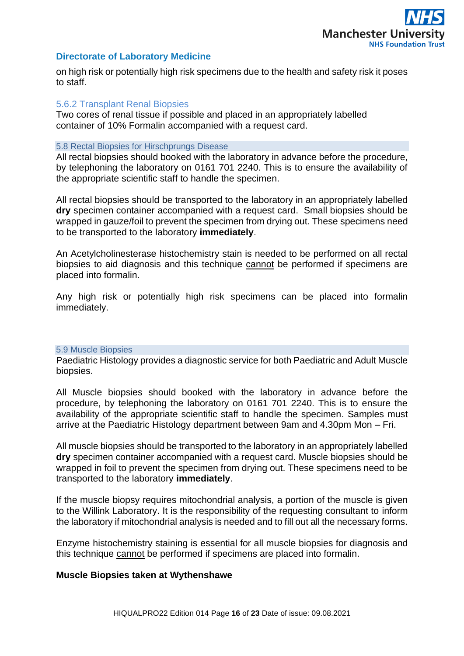

on high risk or potentially high risk specimens due to the health and safety risk it poses to staff.

#### 5.6.2 Transplant Renal Biopsies

Two cores of renal tissue if possible and placed in an appropriately labelled container of 10% Formalin accompanied with a request card.

#### <span id="page-15-0"></span>5.8 Rectal Biopsies for Hirschprungs Disease

All rectal biopsies should booked with the laboratory in advance before the procedure, by telephoning the laboratory on 0161 701 2240. This is to ensure the availability of the appropriate scientific staff to handle the specimen.

All rectal biopsies should be transported to the laboratory in an appropriately labelled **dry** specimen container accompanied with a request card. Small biopsies should be wrapped in gauze/foil to prevent the specimen from drying out. These specimens need to be transported to the laboratory **immediately**.

An Acetylcholinesterase histochemistry stain is needed to be performed on all rectal biopsies to aid diagnosis and this technique cannot be performed if specimens are placed into formalin.

Any high risk or potentially high risk specimens can be placed into formalin immediately.

#### <span id="page-15-1"></span>5.9 Muscle Biopsies

Paediatric Histology provides a diagnostic service for both Paediatric and Adult Muscle biopsies.

All Muscle biopsies should booked with the laboratory in advance before the procedure, by telephoning the laboratory on 0161 701 2240. This is to ensure the availability of the appropriate scientific staff to handle the specimen. Samples must arrive at the Paediatric Histology department between 9am and 4.30pm Mon – Fri.

All muscle biopsies should be transported to the laboratory in an appropriately labelled **dry** specimen container accompanied with a request card. Muscle biopsies should be wrapped in foil to prevent the specimen from drying out. These specimens need to be transported to the laboratory **immediately**.

If the muscle biopsy requires mitochondrial analysis, a portion of the muscle is given to the Willink Laboratory. It is the responsibility of the requesting consultant to inform the laboratory if mitochondrial analysis is needed and to fill out all the necessary forms.

Enzyme histochemistry staining is essential for all muscle biopsies for diagnosis and this technique cannot be performed if specimens are placed into formalin.

#### **Muscle Biopsies taken at Wythenshawe**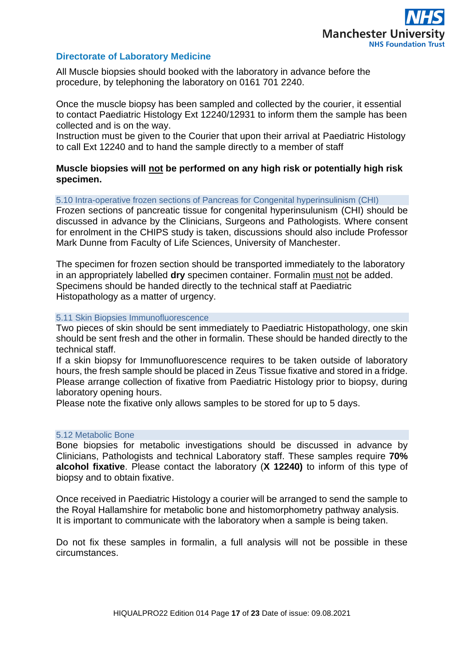

All Muscle biopsies should booked with the laboratory in advance before the procedure, by telephoning the laboratory on 0161 701 2240.

Once the muscle biopsy has been sampled and collected by the courier, it essential to contact Paediatric Histology Ext 12240/12931 to inform them the sample has been collected and is on the way.

Instruction must be given to the Courier that upon their arrival at Paediatric Histology to call Ext 12240 and to hand the sample directly to a member of staff

# **Muscle biopsies will not be performed on any high risk or potentially high risk specimen.**

<span id="page-16-0"></span>5.10 Intra-operative frozen sections of Pancreas for Congenital hyperinsulinism (CHI)

Frozen sections of pancreatic tissue for congenital hyperinsulunism (CHI) should be discussed in advance by the Clinicians, Surgeons and Pathologists. Where consent for enrolment in the CHIPS study is taken, discussions should also include Professor Mark Dunne from Faculty of Life Sciences, University of Manchester.

The specimen for frozen section should be transported immediately to the laboratory in an appropriately labelled **dry** specimen container. Formalin must not be added. Specimens should be handed directly to the technical staff at Paediatric Histopathology as a matter of urgency.

#### <span id="page-16-1"></span>5.11 Skin Biopsies Immunofluorescence

Two pieces of skin should be sent immediately to Paediatric Histopathology, one skin should be sent fresh and the other in formalin. These should be handed directly to the technical staff.

If a skin biopsy for Immunofluorescence requires to be taken outside of laboratory hours, the fresh sample should be placed in Zeus Tissue fixative and stored in a fridge. Please arrange collection of fixative from Paediatric Histology prior to biopsy, during laboratory opening hours.

Please note the fixative only allows samples to be stored for up to 5 days.

#### <span id="page-16-2"></span>5.12 Metabolic Bone

Bone biopsies for metabolic investigations should be discussed in advance by Clinicians, Pathologists and technical Laboratory staff. These samples require **70% alcohol fixative**. Please contact the laboratory (**X 12240)** to inform of this type of biopsy and to obtain fixative.

Once received in Paediatric Histology a courier will be arranged to send the sample to the Royal Hallamshire for metabolic bone and histomorphometry pathway analysis. It is important to communicate with the laboratory when a sample is being taken.

Do not fix these samples in formalin, a full analysis will not be possible in these circumstances.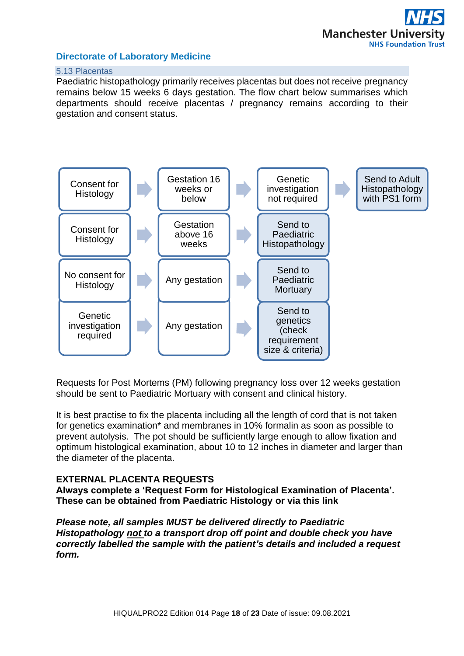## <span id="page-17-0"></span>5.13 Placentas

Paediatric histopathology primarily receives placentas but does not receive pregnancy remains below 15 weeks 6 days gestation. The flow chart below summarises which departments should receive placentas / pregnancy remains according to their gestation and consent status.



Requests for Post Mortems (PM) following pregnancy loss over 12 weeks gestation should be sent to Paediatric Mortuary with consent and clinical history.

It is best practise to fix the placenta including all the length of cord that is not taken for genetics examination\* and membranes in 10% formalin as soon as possible to prevent autolysis. The pot should be sufficiently large enough to allow fixation and optimum histological examination, about 10 to 12 inches in diameter and larger than the diameter of the placenta.

# **EXTERNAL PLACENTA REQUESTS**

**Always complete a 'Request Form for Histological Examination of Placenta'. These can be obtained from Paediatric Histology or via this link**

*Please note, all samples MUST be delivered directly to Paediatric Histopathology not to a transport drop off point and double check you have correctly labelled the sample with the patient's details and included a request form.*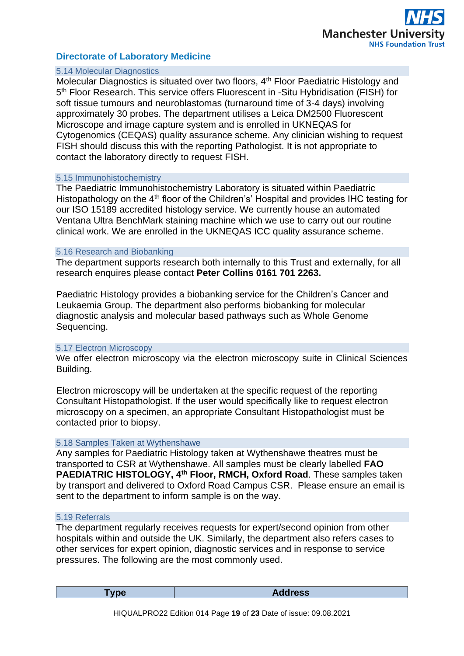

#### <span id="page-18-0"></span>5.14 Molecular Diagnostics

Molecular Diagnostics is situated over two floors, 4<sup>th</sup> Floor Paediatric Histology and 5<sup>th</sup> Floor Research. This service offers Fluorescent in -Situ Hybridisation (FISH) for soft tissue tumours and neuroblastomas (turnaround time of 3-4 days) involving approximately 30 probes. The department utilises a Leica DM2500 Fluorescent Microscope and image capture system and is enrolled in UKNEQAS for Cytogenomics (CEQAS) quality assurance scheme. Any clinician wishing to request FISH should discuss this with the reporting Pathologist. It is not appropriate to contact the laboratory directly to request FISH.

#### <span id="page-18-1"></span>5.15 Immunohistochemistry

The Paediatric Immunohistochemistry Laboratory is situated within Paediatric Histopathology on the 4<sup>th</sup> floor of the Children's' Hospital and provides IHC testing for our ISO 15189 accredited histology service. We currently house an automated Ventana Ultra BenchMark staining machine which we use to carry out our routine clinical work. We are enrolled in the UKNEQAS ICC quality assurance scheme.

#### <span id="page-18-2"></span>5.16 Research and Biobanking

The department supports research both internally to this Trust and externally, for all research enquires please contact **Peter Collins 0161 701 2263.**

Paediatric Histology provides a biobanking service for the Children's Cancer and Leukaemia Group. The department also performs biobanking for molecular diagnostic analysis and molecular based pathways such as Whole Genome Sequencing.

#### <span id="page-18-3"></span>5.17 Electron Microscopy

We offer electron microscopy via the electron microscopy suite in Clinical Sciences Building.

Electron microscopy will be undertaken at the specific request of the reporting Consultant Histopathologist. If the user would specifically like to request electron microscopy on a specimen, an appropriate Consultant Histopathologist must be contacted prior to biopsy.

#### <span id="page-18-4"></span>5.18 Samples Taken at Wythenshawe

Any samples for Paediatric Histology taken at Wythenshawe theatres must be transported to CSR at Wythenshawe. All samples must be clearly labelled **FAO PAEDIATRIC HISTOLOGY, 4th Floor, RMCH, Oxford Road**. These samples taken by transport and delivered to Oxford Road Campus CSR. Please ensure an email is sent to the department to inform sample is on the way.

#### <span id="page-18-5"></span>5.19 Referrals

The department regularly receives requests for expert/second opinion from other hospitals within and outside the UK. Similarly, the department also refers cases to other services for expert opinion, diagnostic services and in response to service pressures. The following are the most commonly used.

|--|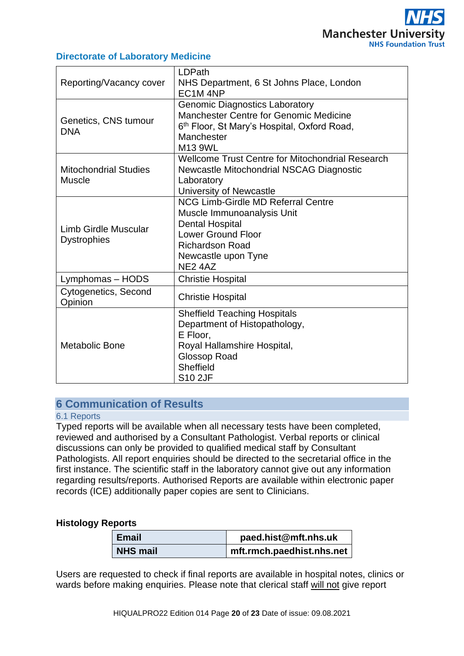| Reporting/Vacancy cover                       | LDPath<br>NHS Department, 6 St Johns Place, London<br>EC1M4NP                                                                                                                                                      |
|-----------------------------------------------|--------------------------------------------------------------------------------------------------------------------------------------------------------------------------------------------------------------------|
| Genetics, CNS tumour<br><b>DNA</b>            | <b>Genomic Diagnostics Laboratory</b><br>Manchester Centre for Genomic Medicine<br>6 <sup>th</sup> Floor, St Mary's Hospital, Oxford Road,<br>Manchester<br>M13 9WL                                                |
| <b>Mitochondrial Studies</b><br><b>Muscle</b> | Wellcome Trust Centre for Mitochondrial Research<br>Newcastle Mitochondrial NSCAG Diagnostic<br>Laboratory<br>University of Newcastle                                                                              |
| Limb Girdle Muscular<br><b>Dystrophies</b>    | <b>NCG Limb-Girdle MD Referral Centre</b><br>Muscle Immunoanalysis Unit<br><b>Dental Hospital</b><br><b>Lower Ground Floor</b><br><b>Richardson Road</b><br>Newcastle upon Tyne<br>NE <sub>2</sub> 4A <sub>Z</sub> |
| Lymphomas - HODS                              | <b>Christie Hospital</b>                                                                                                                                                                                           |
| Cytogenetics, Second<br>Opinion               | <b>Christie Hospital</b>                                                                                                                                                                                           |
| <b>Metabolic Bone</b>                         | <b>Sheffield Teaching Hospitals</b><br>Department of Histopathology,<br>E Floor,<br>Royal Hallamshire Hospital,<br><b>Glossop Road</b><br>Sheffield<br><b>S10 2JF</b>                                              |

# <span id="page-19-0"></span>**6 Communication of Results**

#### <span id="page-19-1"></span>6.1 Reports

Typed reports will be available when all necessary tests have been completed, reviewed and authorised by a Consultant Pathologist. Verbal reports or clinical discussions can only be provided to qualified medical staff by Consultant Pathologists. All report enquiries should be directed to the secretarial office in the first instance. The scientific staff in the laboratory cannot give out any information regarding results/reports. Authorised Reports are available within electronic paper records (ICE) additionally paper copies are sent to Clinicians.

# **Histology Reports**

| <b>Email</b>    | paed.hist@mft.nhs.uk      |
|-----------------|---------------------------|
| <b>NHS mail</b> | mft.rmch.paedhist.nhs.net |

Users are requested to check if final reports are available in hospital notes, clinics or wards before making enquiries. Please note that clerical staff will not give report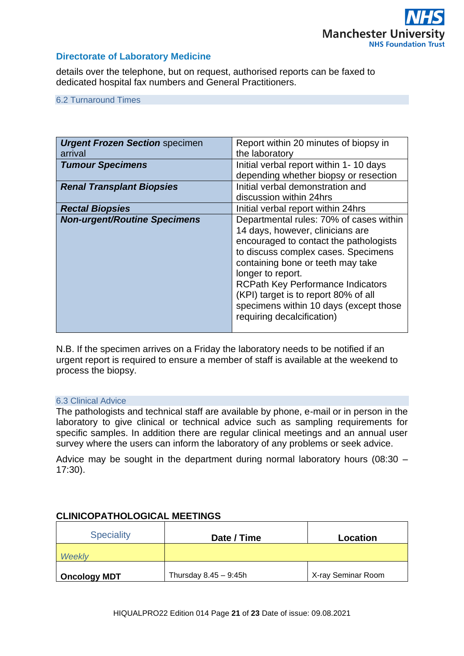

details over the telephone, but on request, authorised reports can be faxed to dedicated hospital fax numbers and General Practitioners.

<span id="page-20-0"></span>6.2 Turnaround Times

| <b>Urgent Frozen Section specimen</b> | Report within 20 minutes of biopsy in    |
|---------------------------------------|------------------------------------------|
| arrival                               | the laboratory                           |
| <b>Tumour Specimens</b>               | Initial verbal report within 1-10 days   |
|                                       | depending whether biopsy or resection    |
| <b>Renal Transplant Biopsies</b>      | Initial verbal demonstration and         |
|                                       | discussion within 24hrs                  |
| <b>Rectal Biopsies</b>                | Initial verbal report within 24hrs       |
| <b>Non-urgent/Routine Specimens</b>   | Departmental rules: 70% of cases within  |
|                                       | 14 days, however, clinicians are         |
|                                       | encouraged to contact the pathologists   |
|                                       | to discuss complex cases. Specimens      |
|                                       | containing bone or teeth may take        |
|                                       | longer to report.                        |
|                                       | <b>RCPath Key Performance Indicators</b> |
|                                       | (KPI) target is to report 80% of all     |
|                                       | specimens within 10 days (except those   |
|                                       | requiring decalcification)               |
|                                       |                                          |

N.B. If the specimen arrives on a Friday the laboratory needs to be notified if an urgent report is required to ensure a member of staff is available at the weekend to process the biopsy.

#### <span id="page-20-1"></span>6.3 Clinical Advice

The pathologists and technical staff are available by phone, e-mail or in person in the laboratory to give clinical or technical advice such as sampling requirements for specific samples. In addition there are regular clinical meetings and an annual user survey where the users can inform the laboratory of any problems or seek advice.

Advice may be sought in the department during normal laboratory hours (08:30 – 17:30).

<span id="page-20-3"></span><span id="page-20-2"></span>

| <b>Speciality</b>   | Date / Time             | Location           |
|---------------------|-------------------------|--------------------|
| Weekly              |                         |                    |
| <b>Oncology MDT</b> | Thursday $8.45 - 9:45h$ | X-ray Seminar Room |

# **CLINICOPATHOLOGICAL MEETINGS**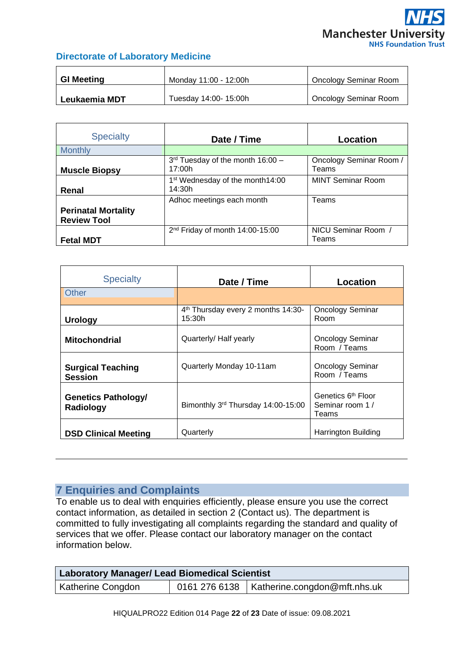<span id="page-21-0"></span>

| <b>GI Meeting</b> | Monday 11:00 - 12:00h | Oncology Seminar Room |
|-------------------|-----------------------|-----------------------|
| Leukaemia MDT     | Tuesday 14:00- 15:00h | Oncology Seminar Room |

<span id="page-21-2"></span><span id="page-21-1"></span>

| <b>Specialty</b>                                 | Date / Time                                           | Location                         |
|--------------------------------------------------|-------------------------------------------------------|----------------------------------|
| <b>Monthly</b>                                   |                                                       |                                  |
| <b>Muscle Biopsy</b>                             | $3rd$ Tuesday of the month 16:00 -<br>17:00h          | Oncology Seminar Room /<br>Teams |
| Renal                                            | 1 <sup>st</sup> Wednesday of the month14:00<br>14:30h | <b>MINT Seminar Room</b>         |
| <b>Perinatal Mortality</b><br><b>Review Tool</b> | Adhoc meetings each month                             | Teams                            |
| <b>Fetal MDT</b>                                 | 2 <sup>nd</sup> Friday of month 14:00-15:00           | NICU Seminar Room<br>Teams       |

<span id="page-21-4"></span><span id="page-21-3"></span>

| <b>Specialty</b>                           | Date / Time                                              | Location                                                    |
|--------------------------------------------|----------------------------------------------------------|-------------------------------------------------------------|
| <b>Other</b>                               |                                                          |                                                             |
| <b>Urology</b>                             | 4 <sup>th</sup> Thursday every 2 months 14:30-<br>15:30h | <b>Oncology Seminar</b><br>Room                             |
| <b>Mitochondrial</b>                       | Quarterly/ Half yearly                                   | <b>Oncology Seminar</b><br>Room / Teams                     |
| <b>Surgical Teaching</b><br><b>Session</b> | Quarterly Monday 10-11am                                 | <b>Oncology Seminar</b><br>Room / Teams                     |
| <b>Genetics Pathology/</b><br>Radiology    | Bimonthly 3rd Thursday 14:00-15:00                       | Genetics 6 <sup>th</sup> Floor<br>Seminar room 1 /<br>Teams |
| <b>DSD Clinical Meeting</b>                | Quarterly                                                | Harrington Building                                         |

# <span id="page-21-5"></span>**7 Enquiries and Complaints**

To enable us to deal with enquiries efficiently, please ensure you use the correct contact information, as detailed in section 2 (Contact us). The department is committed to fully investigating all complaints regarding the standard and quality of services that we offer. Please contact our laboratory manager on the contact information below.

| Laboratory Manager/ Lead Biomedical Scientist |  |                                                |
|-----------------------------------------------|--|------------------------------------------------|
| Katherine Congdon                             |  | □ 0161 276 6138   Katherine.congdon@mft.nhs.uk |